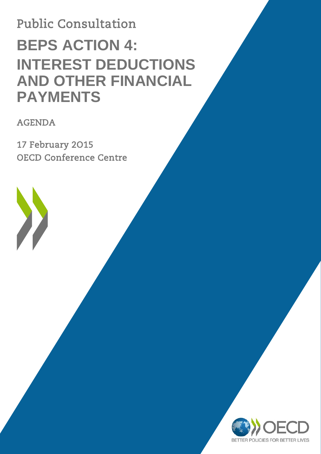# Public Consultation **BEPS ACTION 4: INTEREST DEDUCTIONS AND OTHER FINANCIAL PAYMENTS**

AGENDA

 $\sum$ 

17 February 2O15 OECD Conference Centre

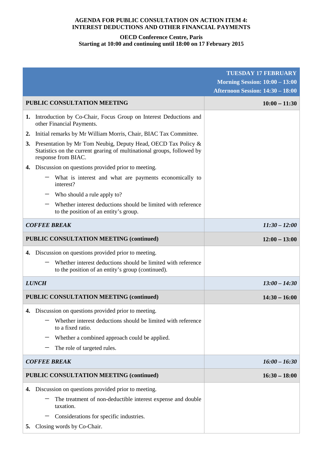#### **AGENDA FOR PUBLIC CONSULTATION ON ACTION ITEM 4: INTEREST DEDUCTIONS AND OTHER FINANCIAL PAYMENTS**

## **OECD Conference Centre, Paris Starting at 10:00 and continuing until 18:00 on 17 February 2015**

|                                                                                                                                                                      | <b>TUESDAY 17 FEBRUARY</b><br><b>Morning Session: 10:00 - 13:00</b> |
|----------------------------------------------------------------------------------------------------------------------------------------------------------------------|---------------------------------------------------------------------|
|                                                                                                                                                                      | <b>Afternoon Session: 14:30 - 18:00</b>                             |
| <b>PUBLIC CONSULTATION MEETING</b>                                                                                                                                   | $10:00 - 11:30$                                                     |
| 1. Introduction by Co-Chair, Focus Group on Interest Deductions and<br>other Financial Payments.                                                                     |                                                                     |
| Initial remarks by Mr William Morris, Chair, BIAC Tax Committee.<br>2.                                                                                               |                                                                     |
| Presentation by Mr Tom Neubig, Deputy Head, OECD Tax Policy &<br>3.<br>Statistics on the current gearing of multinational groups, followed by<br>response from BIAC. |                                                                     |
| Discussion on questions provided prior to meeting.<br>4.                                                                                                             |                                                                     |
| What is interest and what are payments economically to<br>interest?                                                                                                  |                                                                     |
| Who should a rule apply to?                                                                                                                                          |                                                                     |
| Whether interest deductions should be limited with reference<br>to the position of an entity's group.                                                                |                                                                     |
| <b>COFFEE BREAK</b>                                                                                                                                                  | $11:30 - 12:00$                                                     |
| <b>PUBLIC CONSULTATION MEETING (continued)</b>                                                                                                                       | $12:00 - 13:00$                                                     |
| 4. Discussion on questions provided prior to meeting.                                                                                                                |                                                                     |
| Whether interest deductions should be limited with reference<br>to the position of an entity's group (continued).                                                    |                                                                     |
| <b>LUNCH</b>                                                                                                                                                         | $13:00 - 14:30$                                                     |
| <b>PUBLIC CONSULTATION MEETING (continued)</b>                                                                                                                       | $14:30 - 16:00$                                                     |
| 4. Discussion on questions provided prior to meeting.                                                                                                                |                                                                     |
| Whether interest deductions should be limited with reference<br>to a fixed ratio.                                                                                    |                                                                     |
| Whether a combined approach could be applied.                                                                                                                        |                                                                     |
| The role of targeted rules.                                                                                                                                          |                                                                     |
| <b>COFFEE BREAK</b>                                                                                                                                                  | $16:00 - 16:30$                                                     |
| <b>PUBLIC CONSULTATION MEETING (continued)</b>                                                                                                                       | $16:30 - 18:00$                                                     |
| Discussion on questions provided prior to meeting.<br>4.                                                                                                             |                                                                     |
| The treatment of non-deductible interest expense and double<br>taxation.                                                                                             |                                                                     |
| Considerations for specific industries.                                                                                                                              |                                                                     |
| Closing words by Co-Chair.<br>5.                                                                                                                                     |                                                                     |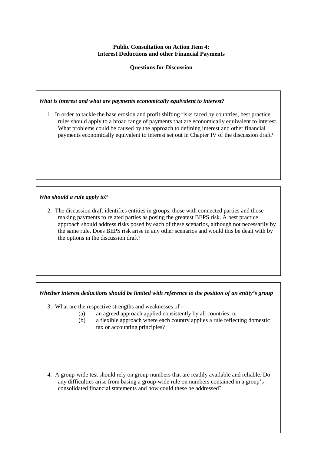### **Public Consultation on Action Item 4: Interest Deductions and other Financial Payments**

**Questions for Discussion**

#### *What is interest and what are payments economically equivalent to interest?*

1. In order to tackle the base erosion and profit shifting risks faced by countries, best practice rules should apply to a broad range of payments that are economically equivalent to interest. What problems could be caused by the approach to defining interest and other financial payments economically equivalent to interest set out in Chapter IV of the discussion draft?

## *Who should a rule apply to?*

2. The discussion draft identifies entities in groups, those with connected parties and those making payments to related parties as posing the greatest BEPS risk. A best practice approach should address risks posed by each of these scenarios, although not necessarily by the same rule. Does BEPS risk arise in any other scenarios and would this be dealt with by the options in the discussion draft?

#### *Whether interest deductions should be limited with reference to the position of an entity's group*

- 3. What are the respective strengths and weaknesses of
	- (a) an agreed approach applied consistently by all countries; or
	- (b) a flexible approach where each country applies a rule reflecting domestic tax or accounting principles?
- 4. A group-wide test should rely on group numbers that are readily available and reliable. Do any difficulties arise from basing a group-wide rule on numbers contained in a group's consolidated financial statements and how could these be addressed?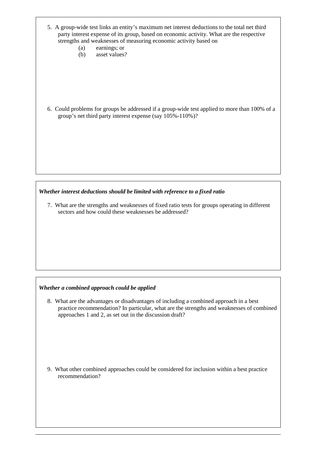- 5. A group-wide test links an entity's maximum net interest deductions to the total net third party interest expense of its group, based on economic activity. What are the respective strengths and weaknesses of measuring economic activity based on
	- (a) earnings; or
	- (b) asset values?

6. Could problems for groups be addressed if a group-wide test applied to more than 100% of a group's net third party interest expense (say 105%-110%)?

*Whether interest deductions should be limited with reference to a fixed ratio*

7. What are the strengths and weaknesses of fixed ratio tests for groups operating in different sectors and how could these weaknesses be addressed?

## *Whether a combined approach could be applied*

8. What are the advantages or disadvantages of including a combined approach in a best practice recommendation? In particular, what are the strengths and weaknesses of combined approaches 1 and 2, as set out in the discussion draft?

9. What other combined approaches could be considered for inclusion within a best practice recommendation?